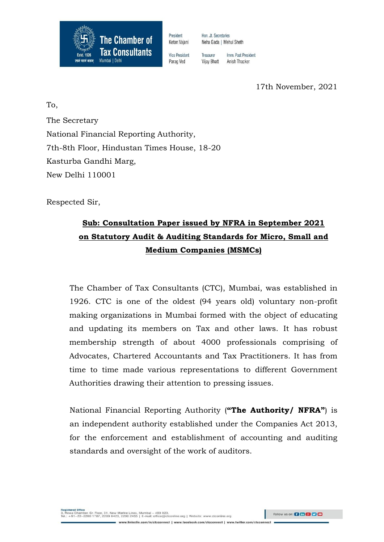

President Hon Jt Secretaries Ketan Vaiani Neha Gada | Mehul Sheth

Vice President Treasurer Parag Ved **Vijay Bhatt**  Imm Past President

Anish Thacker

17th November, 2021

To, The Secretary National Financial Reporting Authority, 7th-8th Floor, Hindustan Times House, 18-20 Kasturba Gandhi Marg, New Delhi 110001

Respected Sir,

# **Sub: Consultation Paper issued by NFRA in September 2021 on Statutory Audit & Auditing Standards for Micro, Small and Medium Companies (MSMCs)**

The Chamber of Tax Consultants (CTC), Mumbai, was established in 1926. CTC is one of the oldest (94 years old) voluntary non-profit making organizations in Mumbai formed with the object of educating and updating its members on Tax and other laws. It has robust membership strength of about 4000 professionals comprising of Advocates, Chartered Accountants and Tax Practitioners. It has from time to time made various representations to different Government Authorities drawing their attention to pressing issues.

National Financial Reporting Authority (**"The Authority/ NFRA"**) is an independent authority established under the Companies Act 2013, for the enforcement and establishment of accounting and auditing standards and oversight of the work of auditors.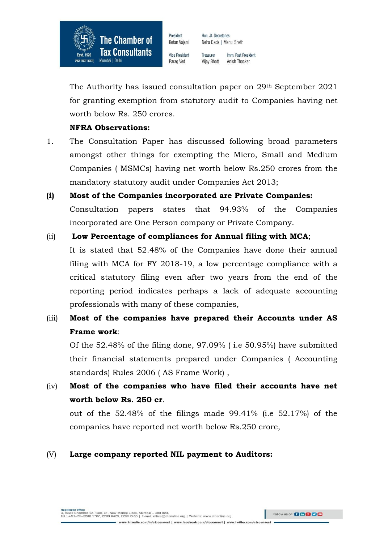

President Hon Jt Secretaries Ketan Vaiani Neha Gada | Mehul Sheth

Vice President Parag Ved

Treasurer Imm Past President **Vijay Bhatt** Anish Thacker

The Authority has issued consultation paper on 29<sup>th</sup> September 2021 for granting exemption from statutory audit to Companies having net worth below Rs. 250 crores.

## **NFRA Observations:**

- 1. The Consultation Paper has discussed following broad parameters amongst other things for exempting the Micro, Small and Medium Companies ( MSMCs) having net worth below Rs.250 crores from the mandatory statutory audit under Companies Act 2013;
- **(i) Most of the Companies incorporated are Private Companies:** Consultation papers states that 94.93% of the Companies incorporated are One Person company or Private Company.
- (ii) **Low Percentage of compliances for Annual filing with MCA**;

It is stated that 52.48% of the Companies have done their annual filing with MCA for FY 2018-19, a low percentage compliance with a critical statutory filing even after two years from the end of the reporting period indicates perhaps a lack of adequate accounting professionals with many of these companies,

(iii) **Most of the companies have prepared their Accounts under AS Frame work**:

Of the 52.48% of the filing done, 97.09% ( i.e 50.95%) have submitted their financial statements prepared under Companies ( Accounting standards) Rules 2006 ( AS Frame Work) ,

(iv) **Most of the companies who have filed their accounts have net worth below Rs. 250 cr**.

out of the 52.48% of the filings made 99.41% (i.e 52.17%) of the companies have reported net worth below Rs.250 crore,

## (V) **Large company reported NIL payment to Auditors:**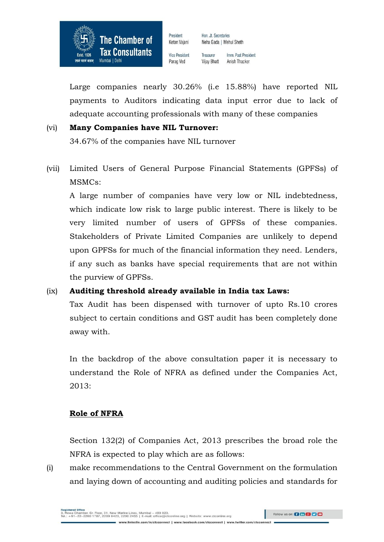

Ketan Vaiani Vice President Parag Ved

Neha Gada | Mehul Sheth Treasurer Imm. Past President

Hon, Jt. Secretaries

**Vijay Bhatt** Anish Thacker

Large companies nearly 30.26% (i.e 15.88%) have reported NIL payments to Auditors indicating data input error due to lack of adequate accounting professionals with many of these companies

## (vi) **Many Companies have NIL Turnover:**

34.67% of the companies have NIL turnover

(vii) Limited Users of General Purpose Financial Statements (GPFSs) of MSMCs:

A large number of companies have very low or NIL indebtedness, which indicate low risk to large public interest. There is likely to be very limited number of users of GPFSs of these companies. Stakeholders of Private Limited Companies are unlikely to depend upon GPFSs for much of the financial information they need. Lenders, if any such as banks have special requirements that are not within the purview of GPFSs.

## (ix) **Auditing threshold already available in India tax Laws:**

Tax Audit has been dispensed with turnover of upto Rs.10 crores subject to certain conditions and GST audit has been completely done away with.

In the backdrop of the above consultation paper it is necessary to understand the Role of NFRA as defined under the Companies Act, 2013:

## **Role of NFRA**

Section 132(2) of Companies Act, 2013 prescribes the broad role the NFRA is expected to play which are as follows:

(i) make recommendations to the Central Government on the formulation and laying down of accounting and auditing policies and standards for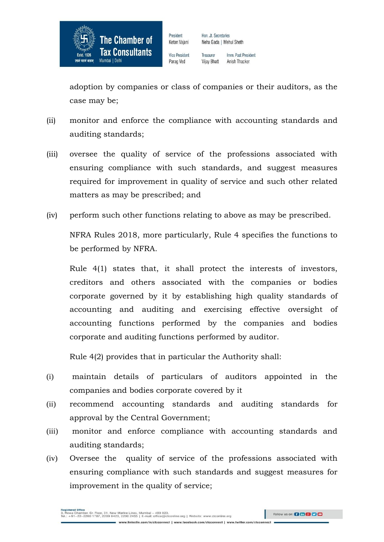

Vice President Parag Ved

President

Ketan Vaiani

Treasurer Imm. Past President **Vijay Bhatt** Anish Thacker

adoption by companies or class of companies or their auditors, as the case may be;

- (ii) monitor and enforce the compliance with accounting standards and auditing standards;
- (iii) oversee the quality of service of the professions associated with ensuring compliance with such standards, and suggest measures required for improvement in quality of service and such other related matters as may be prescribed; and
- (iv) perform such other functions relating to above as may be prescribed.

NFRA Rules 2018, more particularly, Rule 4 specifies the functions to be performed by NFRA.

Rule 4(1) states that, it shall protect the interests of investors, creditors and others associated with the companies or bodies corporate governed by it by establishing high quality standards of accounting and auditing and exercising effective oversight of accounting functions performed by the companies and bodies corporate and auditing functions performed by auditor.

Rule 4(2) provides that in particular the Authority shall:

- (i) maintain details of particulars of auditors appointed in the companies and bodies corporate covered by it
- (ii) recommend accounting standards and auditing standards for approval by the Central Government;
- (iii) monitor and enforce compliance with accounting standards and auditing standards;
- (iv) Oversee the quality of service of the professions associated with ensuring compliance with such standards and suggest measures for improvement in the quality of service;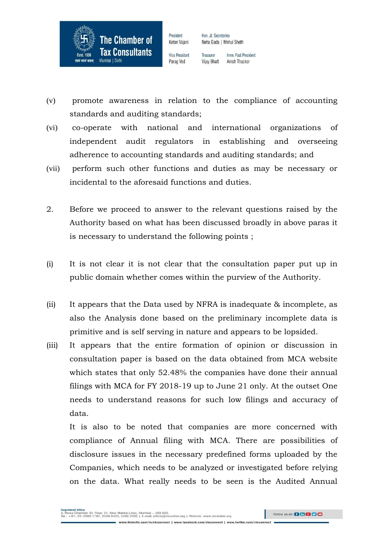

Vice President Parag Ved

President

Ketan Vaiani

Treasurer Imm. Past President **Vijay Bhatt** Anish Thacker

- (v) promote awareness in relation to the compliance of accounting standards and auditing standards;
- (vi) co-operate with national and international organizations of independent audit regulators in establishing and overseeing adherence to accounting standards and auditing standards; and
- (vii) perform such other functions and duties as may be necessary or incidental to the aforesaid functions and duties.
- 2. Before we proceed to answer to the relevant questions raised by the Authority based on what has been discussed broadly in above paras it is necessary to understand the following points ;
- (i) It is not clear it is not clear that the consultation paper put up in public domain whether comes within the purview of the Authority.
- (ii) It appears that the Data used by NFRA is inadequate & incomplete, as also the Analysis done based on the preliminary incomplete data is primitive and is self serving in nature and appears to be lopsided.
- (iii) It appears that the entire formation of opinion or discussion in consultation paper is based on the data obtained from MCA website which states that only 52.48% the companies have done their annual filings with MCA for FY 2018-19 up to June 21 only. At the outset One needs to understand reasons for such low filings and accuracy of data.

It is also to be noted that companies are more concerned with compliance of Annual filing with MCA. There are possibilities of disclosure issues in the necessary predefined forms uploaded by the Companies, which needs to be analyzed or investigated before relying on the data. What really needs to be seen is the Audited Annual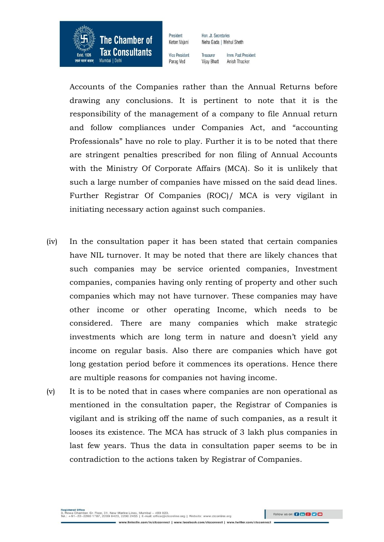

President Ketan Vaiani

Vice President

Parag Ved

Treasurer Imm. Past President **Vijay Bhatt** Anish Thacker

Hon, Jt. Secretaries

Neha Gada | Mehul Sheth

Accounts of the Companies rather than the Annual Returns before drawing any conclusions. It is pertinent to note that it is the responsibility of the management of a company to file Annual return and follow compliances under Companies Act, and "accounting Professionals" have no role to play. Further it is to be noted that there are stringent penalties prescribed for non filing of Annual Accounts with the Ministry Of Corporate Affairs (MCA). So it is unlikely that such a large number of companies have missed on the said dead lines. Further Registrar Of Companies (ROC)/ MCA is very vigilant in initiating necessary action against such companies.

- (iv) In the consultation paper it has been stated that certain companies have NIL turnover. It may be noted that there are likely chances that such companies may be service oriented companies, Investment companies, companies having only renting of property and other such companies which may not have turnover. These companies may have other income or other operating Income, which needs to be considered. There are many companies which make strategic investments which are long term in nature and doesn't yield any income on regular basis. Also there are companies which have got long gestation period before it commences its operations. Hence there are multiple reasons for companies not having income.
- (v) It is to be noted that in cases where companies are non operational as mentioned in the consultation paper, the Registrar of Companies is vigilant and is striking off the name of such companies, as a result it looses its existence. The MCA has struck of 3 lakh plus companies in last few years. Thus the data in consultation paper seems to be in contradiction to the actions taken by Registrar of Companies.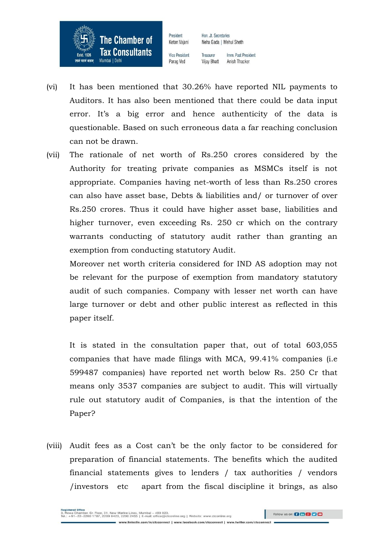

Vice President Parag Ved

President

Ketan Vaiani

Treasurer Imm. Past President **Vijay Bhatt** Anish Thacker

- (vi) It has been mentioned that 30.26% have reported NIL payments to Auditors. It has also been mentioned that there could be data input error. It's a big error and hence authenticity of the data is questionable. Based on such erroneous data a far reaching conclusion can not be drawn.
- (vii) The rationale of net worth of Rs.250 crores considered by the Authority for treating private companies as MSMCs itself is not appropriate. Companies having net-worth of less than Rs.250 crores can also have asset base, Debts & liabilities and/ or turnover of over Rs.250 crores. Thus it could have higher asset base, liabilities and higher turnover, even exceeding Rs. 250 cr which on the contrary warrants conducting of statutory audit rather than granting an exemption from conducting statutory Audit.

Moreover net worth criteria considered for IND AS adoption may not be relevant for the purpose of exemption from mandatory statutory audit of such companies. Company with lesser net worth can have large turnover or debt and other public interest as reflected in this paper itself.

It is stated in the consultation paper that, out of total 603,055 companies that have made filings with MCA, 99.41% companies (i.e 599487 companies) have reported net worth below Rs. 250 Cr that means only 3537 companies are subject to audit. This will virtually rule out statutory audit of Companies, is that the intention of the Paper?

(viii) Audit fees as a Cost can't be the only factor to be considered for preparation of financial statements. The benefits which the audited financial statements gives to lenders / tax authorities / vendors /investors etc apart from the fiscal discipline it brings, as also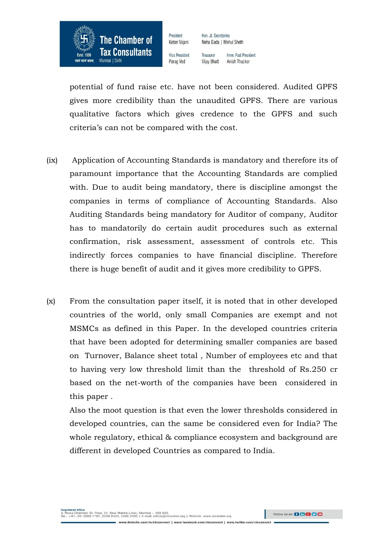

Vice President Parag Ved

President

Ketan Vaiani

Treasurer Imm Past President **Vijay Bhatt** Anish Thacker

potential of fund raise etc. have not been considered. Audited GPFS gives more credibility than the unaudited GPFS. There are various qualitative factors which gives credence to the GPFS and such criteria's can not be compared with the cost.

- (ix) Application of Accounting Standards is mandatory and therefore its of paramount importance that the Accounting Standards are complied with. Due to audit being mandatory, there is discipline amongst the companies in terms of compliance of Accounting Standards. Also Auditing Standards being mandatory for Auditor of company, Auditor has to mandatorily do certain audit procedures such as external confirmation, risk assessment, assessment of controls etc. This indirectly forces companies to have financial discipline. Therefore there is huge benefit of audit and it gives more credibility to GPFS.
- (x) From the consultation paper itself, it is noted that in other developed countries of the world, only small Companies are exempt and not MSMCs as defined in this Paper. In the developed countries criteria that have been adopted for determining smaller companies are based on Turnover, Balance sheet total , Number of employees etc and that to having very low threshold limit than the threshold of Rs.250 cr based on the net-worth of the companies have been considered in this paper .

Also the moot question is that even the lower thresholds considered in developed countries, can the same be considered even for India? The whole regulatory, ethical & compliance ecosystem and background are different in developed Countries as compared to India.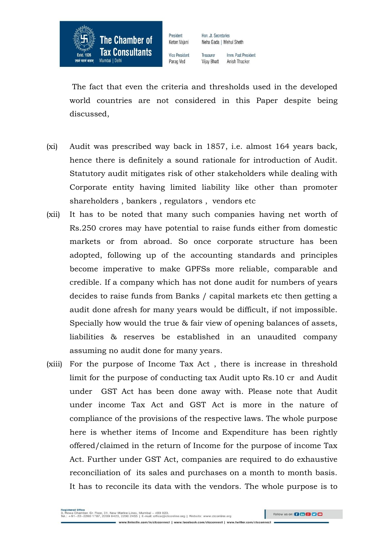

Vice President Parag Ved

President

Ketan Vaiani

Treasurer Imm. Past President **Vijay Bhatt** Anish Thacker

The fact that even the criteria and thresholds used in the developed world countries are not considered in this Paper despite being discussed,

- (xi) Audit was prescribed way back in 1857, i.e. almost 164 years back, hence there is definitely a sound rationale for introduction of Audit. Statutory audit mitigates risk of other stakeholders while dealing with Corporate entity having limited liability like other than promoter shareholders , bankers , regulators , vendors etc
- (xii) It has to be noted that many such companies having net worth of Rs.250 crores may have potential to raise funds either from domestic markets or from abroad. So once corporate structure has been adopted, following up of the accounting standards and principles become imperative to make GPFSs more reliable, comparable and credible. If a company which has not done audit for numbers of years decides to raise funds from Banks / capital markets etc then getting a audit done afresh for many years would be difficult, if not impossible. Specially how would the true & fair view of opening balances of assets, liabilities & reserves be established in an unaudited company assuming no audit done for many years.
- (xiii) For the purpose of Income Tax Act , there is increase in threshold limit for the purpose of conducting tax Audit upto Rs.10 cr and Audit under GST Act has been done away with. Please note that Audit under income Tax Act and GST Act is more in the nature of compliance of the provisions of the respective laws. The whole purpose here is whether items of Income and Expenditure has been rightly offered/claimed in the return of Income for the purpose of income Tax Act. Further under GST Act, companies are required to do exhaustive reconciliation of its sales and purchases on a month to month basis. It has to reconcile its data with the vendors. The whole purpose is to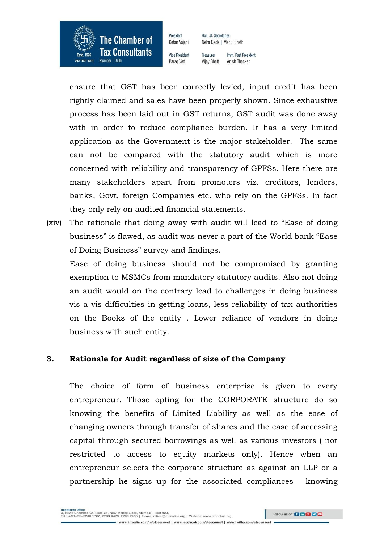

Vice President Parag Ved

President

Ketan Vaiani

Treasurer Imm. Past President **Vijay Bhatt** Anish Thacker

ensure that GST has been correctly levied, input credit has been rightly claimed and sales have been properly shown. Since exhaustive process has been laid out in GST returns, GST audit was done away with in order to reduce compliance burden. It has a very limited application as the Government is the major stakeholder. The same can not be compared with the statutory audit which is more concerned with reliability and transparency of GPFSs. Here there are many stakeholders apart from promoters viz. creditors, lenders, banks, Govt, foreign Companies etc. who rely on the GPFSs. In fact they only rely on audited financial statements.

(xiv) The rationale that doing away with audit will lead to "Ease of doing business" is flawed, as audit was never a part of the World bank "Ease of Doing Business" survey and findings.

Ease of doing business should not be compromised by granting exemption to MSMCs from mandatory statutory audits. Also not doing an audit would on the contrary lead to challenges in doing business vis a vis difficulties in getting loans, less reliability of tax authorities on the Books of the entity . Lower reliance of vendors in doing business with such entity.

### **3. Rationale for Audit regardless of size of the Company**

The choice of form of business enterprise is given to every entrepreneur. Those opting for the CORPORATE structure do so knowing the benefits of Limited Liability as well as the ease of changing owners through transfer of shares and the ease of accessing capital through secured borrowings as well as various investors ( not restricted to access to equity markets only). Hence when an entrepreneur selects the corporate structure as against an LLP or a partnership he signs up for the associated compliances - knowing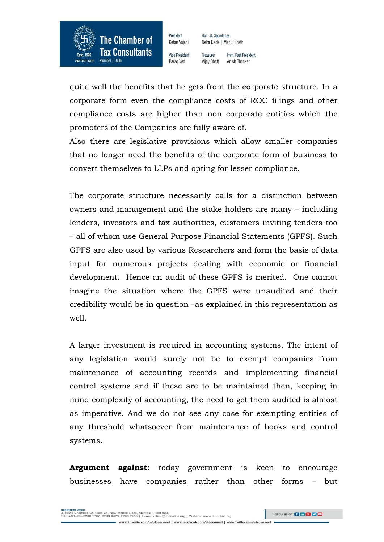

President Ketan Vaiani

Hon, Jt. Secretaries Neha Gada | Mehul Sheth

Vice President Parag Ved

Treasurer Imm. Past President **Vijay Bhatt** Anish Thacker

quite well the benefits that he gets from the corporate structure. In a corporate form even the compliance costs of ROC filings and other compliance costs are higher than non corporate entities which the promoters of the Companies are fully aware of.

Also there are legislative provisions which allow smaller companies that no longer need the benefits of the corporate form of business to convert themselves to LLPs and opting for lesser compliance.

The corporate structure necessarily calls for a distinction between owners and management and the stake holders are many – including lenders, investors and tax authorities, customers inviting tenders too – all of whom use General Purpose Financial Statements (GPFS). Such GPFS are also used by various Researchers and form the basis of data input for numerous projects dealing with economic or financial development. Hence an audit of these GPFS is merited. One cannot imagine the situation where the GPFS were unaudited and their credibility would be in question –as explained in this representation as well.

A larger investment is required in accounting systems. The intent of any legislation would surely not be to exempt companies from maintenance of accounting records and implementing financial control systems and if these are to be maintained then, keeping in mind complexity of accounting, the need to get them audited is almost as imperative. And we do not see any case for exempting entities of any threshold whatsoever from maintenance of books and control systems.

**Argument against**: today government is keen to encourage businesses have companies rather than other forms – but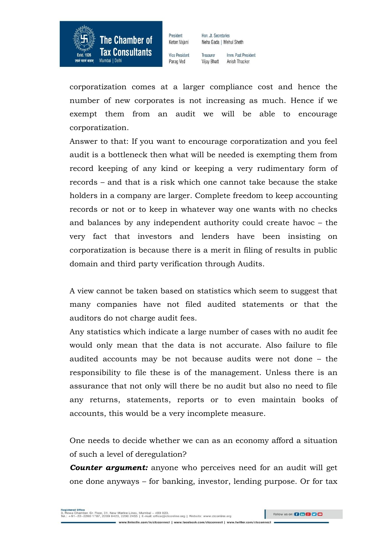

Vice President Parag Ved

President

Ketan Vaiani

Treasurer Imm. Past President **Vijay Bhatt** Anish Thacker

corporatization comes at a larger compliance cost and hence the number of new corporates is not increasing as much. Hence if we exempt them from an audit we will be able to encourage corporatization.

Answer to that: If you want to encourage corporatization and you feel audit is a bottleneck then what will be needed is exempting them from record keeping of any kind or keeping a very rudimentary form of records – and that is a risk which one cannot take because the stake holders in a company are larger. Complete freedom to keep accounting records or not or to keep in whatever way one wants with no checks and balances by any independent authority could create havoc – the very fact that investors and lenders have been insisting on corporatization is because there is a merit in filing of results in public domain and third party verification through Audits.

A view cannot be taken based on statistics which seem to suggest that many companies have not filed audited statements or that the auditors do not charge audit fees.

Any statistics which indicate a large number of cases with no audit fee would only mean that the data is not accurate. Also failure to file audited accounts may be not because audits were not done – the responsibility to file these is of the management. Unless there is an assurance that not only will there be no audit but also no need to file any returns, statements, reports or to even maintain books of accounts, this would be a very incomplete measure.

One needs to decide whether we can as an economy afford a situation of such a level of deregulation?

*Counter argument:* anyone who perceives need for an audit will get one done anyways – for banking, investor, lending purpose. Or for tax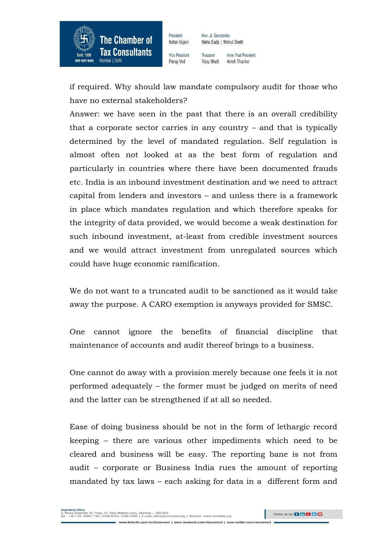

Vice President Parag Ved

President

Ketan Vaiani

Treasurer Imm Past President **Vijay Bhatt** Anish Thacker

if required. Why should law mandate compulsory audit for those who have no external stakeholders?

Answer: we have seen in the past that there is an overall credibility that a corporate sector carries in any country – and that is typically determined by the level of mandated regulation. Self regulation is almost often not looked at as the best form of regulation and particularly in countries where there have been documented frauds etc. India is an inbound investment destination and we need to attract capital from lenders and investors – and unless there is a framework in place which mandates regulation and which therefore speaks for the integrity of data provided, we would become a weak destination for such inbound investment, at-least from credible investment sources and we would attract investment from unregulated sources which could have huge economic ramification.

We do not want to a truncated audit to be sanctioned as it would take away the purpose. A CARO exemption is anyways provided for SMSC.

One cannot ignore the benefits of financial discipline that maintenance of accounts and audit thereof brings to a business.

One cannot do away with a provision merely because one feels it is not performed adequately – the former must be judged on merits of need and the latter can be strengthened if at all so needed.

Ease of doing business should be not in the form of lethargic record keeping – there are various other impediments which need to be cleared and business will be easy. The reporting bane is not from audit – corporate or Business India rues the amount of reporting mandated by tax laws – each asking for data in a different form and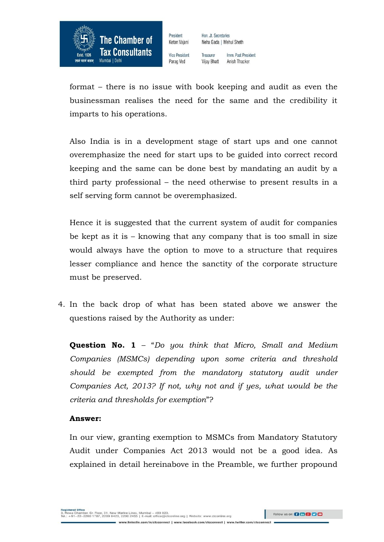

Vice President Parag Ved

President

Ketan Vaiani

Treasurer Imm. Past President **Vijay Bhatt** Anish Thacker

format – there is no issue with book keeping and audit as even the businessman realises the need for the same and the credibility it imparts to his operations.

Also India is in a development stage of start ups and one cannot overemphasize the need for start ups to be guided into correct record keeping and the same can be done best by mandating an audit by a third party professional – the need otherwise to present results in a self serving form cannot be overemphasized.

Hence it is suggested that the current system of audit for companies be kept as it is – knowing that any company that is too small in size would always have the option to move to a structure that requires lesser compliance and hence the sanctity of the corporate structure must be preserved.

4. In the back drop of what has been stated above we answer the questions raised by the Authority as under:

**Question No. 1** – "*Do you think that Micro, Small and Medium Companies (MSMCs) depending upon some criteria and threshold should be exempted from the mandatory statutory audit under Companies Act, 2013? If not, why not and if yes, what would be the criteria and thresholds for exemption*"?

### **Answer:**

In our view, granting exemption to MSMCs from Mandatory Statutory Audit under Companies Act 2013 would not be a good idea. As explained in detail hereinabove in the Preamble, we further propound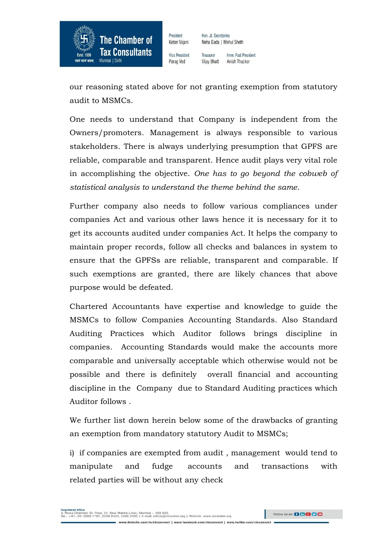

Vice President Parag Ved

President

Ketan Vaiani

Treasurer Imm. Past President **Vijay Bhatt** Anish Thacker

our reasoning stated above for not granting exemption from statutory audit to MSMCs.

One needs to understand that Company is independent from the Owners/promoters. Management is always responsible to various stakeholders. There is always underlying presumption that GPFS are reliable, comparable and transparent. Hence audit plays very vital role in accomplishing the objective. *One has to go beyond the cobweb of statistical analysis to understand the theme behind the same*.

Further company also needs to follow various compliances under companies Act and various other laws hence it is necessary for it to get its accounts audited under companies Act. It helps the company to maintain proper records, follow all checks and balances in system to ensure that the GPFSs are reliable, transparent and comparable. If such exemptions are granted, there are likely chances that above purpose would be defeated.

Chartered Accountants have expertise and knowledge to guide the MSMCs to follow Companies Accounting Standards. Also Standard Auditing Practices which Auditor follows brings discipline in companies. Accounting Standards would make the accounts more comparable and universally acceptable which otherwise would not be possible and there is definitely overall financial and accounting discipline in the Company due to Standard Auditing practices which Auditor follows .

We further list down herein below some of the drawbacks of granting an exemption from mandatory statutory Audit to MSMCs;

i) if companies are exempted from audit , management would tend to manipulate and fudge accounts and transactions with related parties will be without any check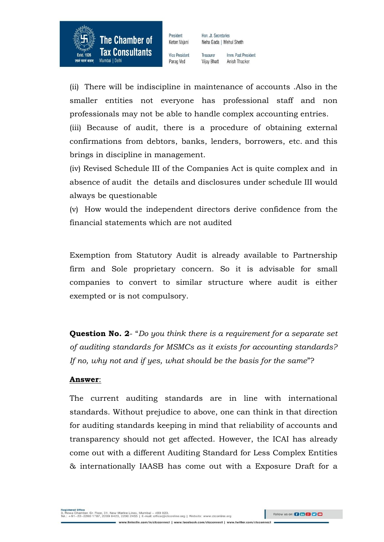

Vice President Parag Ved

President

Ketan Vaiani

Treasurer Imm. Past President **Vijay Bhatt** Anish Thacker

(ii) There will be indiscipline in maintenance of accounts .Also in the smaller entities not everyone has professional staff and non professionals may not be able to handle complex accounting entries.

(iii) Because of audit, there is a procedure of obtaining external confirmations from debtors, banks, lenders, borrowers, etc. and this brings in discipline in management.

(iv) Revised Schedule III of the Companies Act is quite complex and in absence of audit the details and disclosures under schedule III would always be questionable

(v) How would the independent directors derive confidence from the financial statements which are not audited

Exemption from Statutory Audit is already available to Partnership firm and Sole proprietary concern. So it is advisable for small companies to convert to similar structure where audit is either exempted or is not compulsory.

**Question No. 2**- "*Do you think there is a requirement for a separate set of auditing standards for MSMCs as it exists for accounting standards? If no, why not and if yes, what should be the basis for the same*"?

### **Answer**:

The current auditing standards are in line with international standards. Without prejudice to above, one can think in that direction for auditing standards keeping in mind that reliability of accounts and transparency should not get affected. However, the ICAI has already come out with a different Auditing Standard for Less Complex Entities & internationally IAASB has come out with a Exposure Draft for a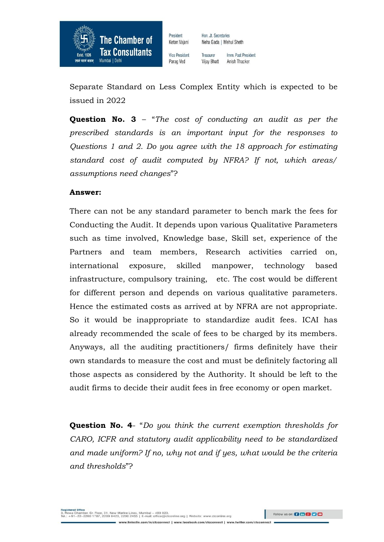

Vice President Parag Ved

President

Ketan Vaiani

Imm. Past President Treasurer **Vijay Bhatt** Anish Thacker

Separate Standard on Less Complex Entity which is expected to be issued in 2022

**Question No. 3** – "*The cost of conducting an audit as per the prescribed standards is an important input for the responses to Questions 1 and 2. Do you agree with the 18 approach for estimating standard cost of audit computed by NFRA? If not, which areas/ assumptions need changes*"?

#### **Answer:**

There can not be any standard parameter to bench mark the fees for Conducting the Audit. It depends upon various Qualitative Parameters such as time involved, Knowledge base, Skill set, experience of the Partners and team members, Research activities carried on, international exposure, skilled manpower, technology based infrastructure, compulsory training, etc. The cost would be different for different person and depends on various qualitative parameters. Hence the estimated costs as arrived at by NFRA are not appropriate. So it would be inappropriate to standardize audit fees. ICAI has already recommended the scale of fees to be charged by its members. Anyways, all the auditing practitioners/ firms definitely have their own standards to measure the cost and must be definitely factoring all those aspects as considered by the Authority. It should be left to the audit firms to decide their audit fees in free economy or open market.

**Question No. 4**- "*Do you think the current exemption thresholds for CARO, ICFR and statutory audit applicability need to be standardized and made uniform? If no, why not and if yes, what would be the criteria and thresholds*"?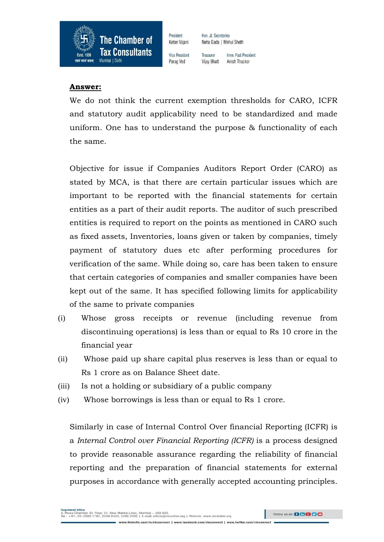

President Ketan Vaiani Vice President

Hon, Jt. Secretaries Neha Gada | Mehul Sheth

Parag Ved

Treasurer Imm Past President **Vijay Bhatt** Anish Thacker

### **Answer:**

We do not think the current exemption thresholds for CARO, ICFR and statutory audit applicability need to be standardized and made uniform. One has to understand the purpose & functionality of each the same.

Objective for issue if Companies Auditors Report Order (CARO) as stated by MCA, is that there are certain particular issues which are important to be reported with the financial statements for certain entities as a part of their audit reports. The auditor of such prescribed entities is required to report on the points as mentioned in CARO such as fixed assets, Inventories, loans given or taken by companies, timely payment of statutory dues etc after performing procedures for verification of the same. While doing so, care has been taken to ensure that certain categories of companies and smaller companies have been kept out of the same. It has specified following limits for applicability of the same to private companies

- (i) Whose gross receipts or revenue (including revenue from discontinuing operations) is less than or equal to Rs 10 crore in the financial year
- (ii) Whose paid up share capital plus reserves is less than or equal to Rs 1 crore as on Balance Sheet date.
- (iii) Is not a holding or subsidiary of a public company
- (iv) Whose borrowings is less than or equal to Rs 1 crore.

Similarly in case of Internal Control Over financial Reporting (ICFR) is a *Internal Control over Financial Reporting (ICFR)* is a process designed to provide reasonable assurance regarding the reliability of financial reporting and the preparation of financial statements for external purposes in accordance with generally accepted accounting principles.